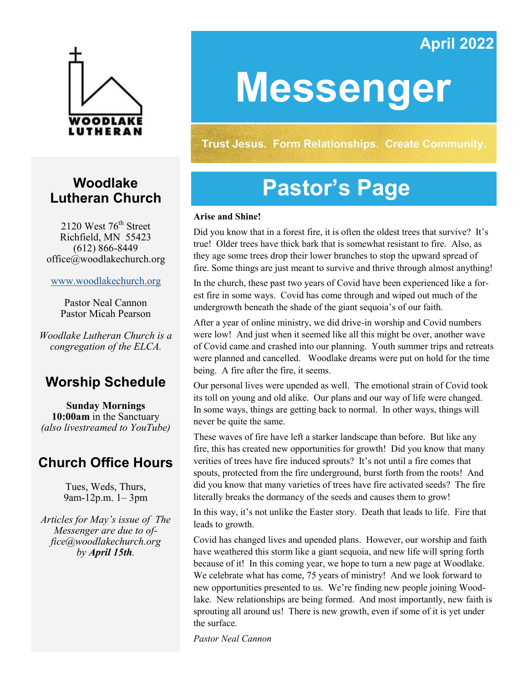# **April 2022**



# **Woodlake Lutheran Church**

2120 West  $76<sup>th</sup>$  Street Richfield, MN 55423 (612) 866-8449 office@woodlakechurch.org

[www.woodlakechurch.org](http://www.woodlakechurch.org)

Pastor Neal Cannon Pastor Micah Pearson

*Woodlake Lutheran Church is a congregation of the ELCA.*

# **Worship Schedule**

**Sunday Mornings 10:00am** in the Sanctuary *(also livestreamed to YouTube)*

# **Church Office Hours**

Tues, Weds, Thurs, 9am-12p.m. 1– 3pm

*Articles for May's issue of The Messenger are due to office@woodlakechurch.org by April 15th.* 

# **Messenger**

**Trust Jesus. Form Relationships. Create Community.** 

# **Pastor's Page**

#### **Arise and Shine!**

Did you know that in a forest fire, it is often the oldest trees that survive? It's true! Older trees have thick bark that is somewhat resistant to fire. Also, as they age some trees drop their lower branches to stop the upward spread of fire. Some things are just meant to survive and thrive through almost anything!

In the church, these past two years of Covid have been experienced like a forest fire in some ways. Covid has come through and wiped out much of the undergrowth beneath the shade of the giant sequoia's of our faith.

After a year of online ministry, we did drive-in worship and Covid numbers were low! And just when it seemed like all this might be over, another wave of Covid came and crashed into our planning. Youth summer trips and retreats were planned and cancelled. Woodlake dreams were put on hold for the time being. A fire after the fire, it seems.

Our personal lives were upended as well. The emotional strain of Covid took its toll on young and old alike. Our plans and our way of life were changed. In some ways, things are getting back to normal. In other ways, things will never be quite the same.

These waves of fire have left a starker landscape than before. But like any fire, this has created new opportunities for growth! Did you know that many verities of trees have fire induced sprouts? It's not until a fire comes that spouts, protected from the fire underground, burst forth from the roots! And did you know that many varieties of trees have fire activated seeds? The fire literally breaks the dormancy of the seeds and causes them to grow!

In this way, it's not unlike the Easter story. Death that leads to life. Fire that leads to growth.

Covid has changed lives and upended plans. However, our worship and faith have weathered this storm like a giant sequoia, and new life will spring forth because of it! In this coming year, we hope to turn a new page at Woodlake. We celebrate what has come, 75 years of ministry! And we look forward to new opportunities presented to us. We're finding new people joining Woodlake. New relationships are being formed. And most importantly, new faith is sprouting all around us! There is new growth, even if some of it is yet under the surface.

*Pastor Neal Cannon*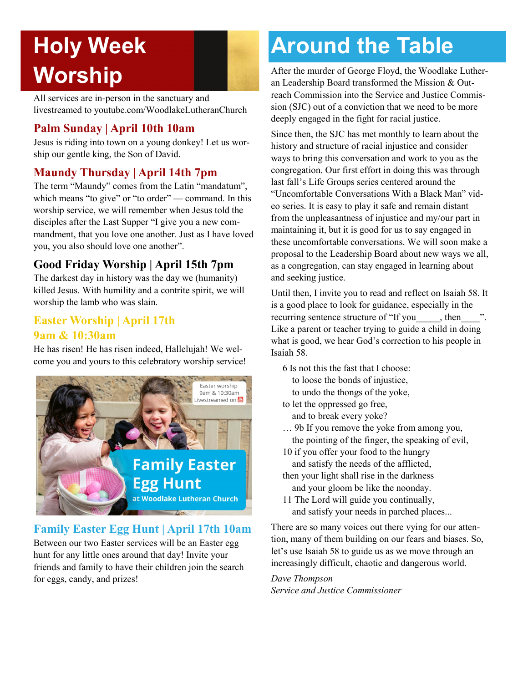# **Holy Week Worship**

All services are in-person in the sanctuary and livestreamed to youtube.com/WoodlakeLutheranChurch

### **Palm Sunday | April 10th 10am**

Jesus is riding into town on a young donkey! Let us worship our gentle king, the Son of David.

## **Maundy Thursday | April 14th 7pm**

The term "Maundy" comes from the Latin "mandatum", which means "to give" or "to order" — command. In this worship service, we will remember when Jesus told the disciples after the Last Supper "I give you a new commandment, that you love one another. Just as I have loved you, you also should love one another".

## **Good Friday Worship | April 15th 7pm**

The darkest day in history was the day we (humanity) killed Jesus. With humility and a contrite spirit, we will worship the lamb who was slain.

### **Easter Worship | April 17th 9am & 10:30am**

He has risen! He has risen indeed, Hallelujah! We welcome you and yours to this celebratory worship service!



### **Family Easter Egg Hunt | April 17th 10am**

Between our two Easter services will be an Easter egg hunt for any little ones around that day! Invite your friends and family to have their children join the search for eggs, candy, and prizes!

# **Around the Table**

After the murder of George Floyd, the Woodlake Lutheran Leadership Board transformed the Mission & Outreach Commission into the Service and Justice Commission (SJC) out of a conviction that we need to be more deeply engaged in the fight for racial justice.

Since then, the SJC has met monthly to learn about the history and structure of racial injustice and consider ways to bring this conversation and work to you as the congregation. Our first effort in doing this was through last fall's Life Groups series centered around the "Uncomfortable Conversations With a Black Man" video series. It is easy to play it safe and remain distant from the unpleasantness of injustice and my/our part in maintaining it, but it is good for us to say engaged in these uncomfortable conversations. We will soon make a proposal to the Leadership Board about new ways we all, as a congregation, can stay engaged in learning about and seeking justice.

Until then, I invite you to read and reflect on Isaiah 58. It is a good place to look for guidance, especially in the recurring sentence structure of "If you , then  $\ldots$ ". Like a parent or teacher trying to guide a child in doing what is good, we hear God's correction to his people in Isaiah 58.

6 Is not this the fast that I choose: to loose the bonds of injustice, to undo the thongs of the yoke,

to let the oppressed go free, and to break every yoke?

… 9b If you remove the yoke from among you, the pointing of the finger, the speaking of evil,

- 10 if you offer your food to the hungry and satisfy the needs of the afflicted,
- then your light shall rise in the darkness and your gloom be like the noonday.
- 11 The Lord will guide you continually, and satisfy your needs in parched places...

There are so many voices out there vying for our attention, many of them building on our fears and biases. So, let's use Isaiah 58 to guide us as we move through an increasingly difficult, chaotic and dangerous world.

#### *Dave Thompson Service and Justice Commissioner*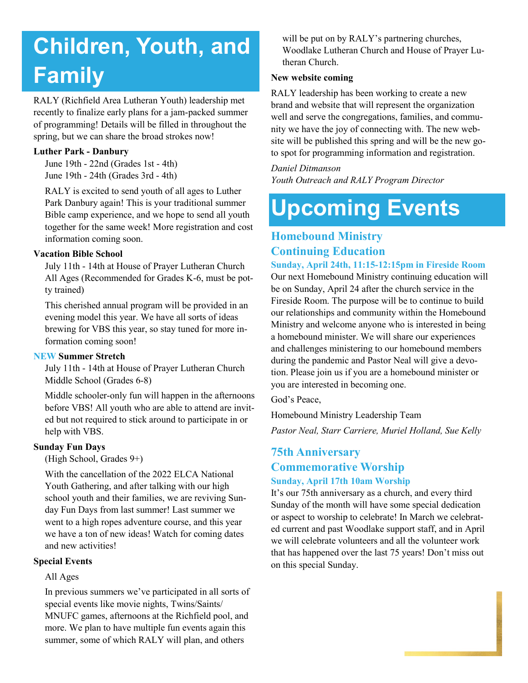# **Children, Youth, and Family**

RALY (Richfield Area Lutheran Youth) leadership met recently to finalize early plans for a jam-packed summer of programming! Details will be filled in throughout the spring, but we can share the broad strokes now!

#### **Luther Park - Danbury**

June 19th - 22nd (Grades 1st - 4th) June 19th - 24th (Grades 3rd - 4th)

RALY is excited to send youth of all ages to Luther Park Danbury again! This is your traditional summer Bible camp experience, and we hope to send all youth together for the same week! More registration and cost information coming soon.

#### **Vacation Bible School**

July 11th - 14th at House of Prayer Lutheran Church All Ages (Recommended for Grades K-6, must be potty trained)

This cherished annual program will be provided in an evening model this year. We have all sorts of ideas brewing for VBS this year, so stay tuned for more information coming soon!

#### **NEW Summer Stretch**

July 11th - 14th at House of Prayer Lutheran Church Middle School (Grades 6-8)

Middle schooler-only fun will happen in the afternoons before VBS! All youth who are able to attend are invited but not required to stick around to participate in or help with VBS.

#### **Sunday Fun Days**

(High School, Grades 9+)

With the cancellation of the 2022 ELCA National Youth Gathering, and after talking with our high school youth and their families, we are reviving Sunday Fun Days from last summer! Last summer we went to a high ropes adventure course, and this year we have a ton of new ideas! Watch for coming dates and new activities!

#### **Special Events**

#### All Ages

In previous summers we've participated in all sorts of special events like movie nights, Twins/Saints/ MNUFC games, afternoons at the Richfield pool, and more. We plan to have multiple fun events again this summer, some of which RALY will plan, and others

will be put on by RALY's partnering churches, Woodlake Lutheran Church and House of Prayer Lutheran Church.

#### **New website coming**

RALY leadership has been working to create a new brand and website that will represent the organization well and serve the congregations, families, and community we have the joy of connecting with. The new website will be published this spring and will be the new goto spot for programming information and registration.

*Daniel Ditmanson Youth Outreach and RALY Program Director*

# **Upcoming Events**

# **Homebound Ministry Continuing Education**

**Sunday, April 24th, 11:15-12:15pm in Fireside Room** Our next Homebound Ministry continuing education will be on Sunday, April 24 after the church service in the Fireside Room. The purpose will be to continue to build our relationships and community within the Homebound Ministry and welcome anyone who is interested in being a homebound minister. We will share our experiences and challenges ministering to our homebound members during the pandemic and Pastor Neal will give a devotion. Please join us if you are a homebound minister or you are interested in becoming one.

God's Peace,

Homebound Ministry Leadership Team

*Pastor Neal, Starr Carriere, Muriel Holland, Sue Kelly*

#### **75th Anniversary Commemorative Worship Sunday, April 17th 10am Worship**

It's our 75th anniversary as a church, and every third Sunday of the month will have some special dedication or aspect to worship to celebrate! In March we celebrated current and past Woodlake support staff, and in April we will celebrate volunteers and all the volunteer work that has happened over the last 75 years! Don't miss out on this special Sunday.